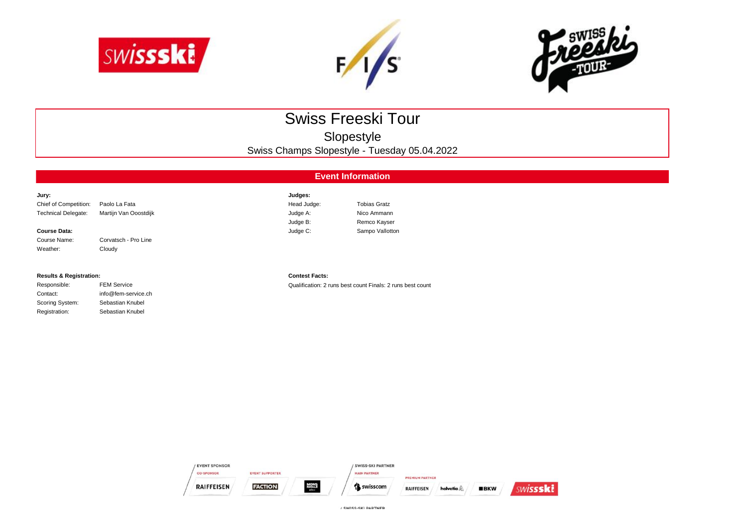





# Swiss Freeski Tour

Slopestyle

Swiss Champs Slopestyle - Tuesday 05.04.2022

# **Event Information**

| Jury:                      |                       | Judges:     |                     |
|----------------------------|-----------------------|-------------|---------------------|
| Chief of Competition:      | Paolo La Fata         | Head Judge: | <b>Tobias Gratz</b> |
| <b>Technical Delegate:</b> | Martijn Van Ooostdijk | Judge A:    | Nico Ammann         |
|                            |                       | Judge B:    | Remco Kayser        |
| <b>Course Data:</b>        |                       | Judge C:    | Sampo Vallotton     |
| Course Name:               | Corvatsch - Pro Line  |             |                     |

### **Results & Registration: Contest Facts:**

Weather: Cloudy

| Responsible:    | <b>FEM Service</b>  |
|-----------------|---------------------|
| Contact:        | info@fem-service.ch |
| Scoring System: | Sebastian Knubel    |
| Registration:   | Sebastian Knubel    |

Responsible: FEM Service Qualification: 2 runs best count Finals: 2 runs best count



/ SWISS-SKI PARTNER